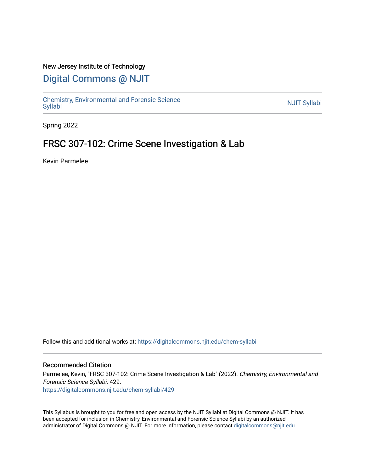## New Jersey Institute of Technology

# [Digital Commons @ NJIT](https://digitalcommons.njit.edu/)

Chemistry, Environmental and Forensic Science<br>Syllabi

Spring 2022

## FRSC 307-102: Crime Scene Investigation & Lab

Kevin Parmelee

Follow this and additional works at: [https://digitalcommons.njit.edu/chem-syllabi](https://digitalcommons.njit.edu/chem-syllabi?utm_source=digitalcommons.njit.edu%2Fchem-syllabi%2F429&utm_medium=PDF&utm_campaign=PDFCoverPages) 

#### Recommended Citation

Parmelee, Kevin, "FRSC 307-102: Crime Scene Investigation & Lab" (2022). Chemistry, Environmental and Forensic Science Syllabi. 429. [https://digitalcommons.njit.edu/chem-syllabi/429](https://digitalcommons.njit.edu/chem-syllabi/429?utm_source=digitalcommons.njit.edu%2Fchem-syllabi%2F429&utm_medium=PDF&utm_campaign=PDFCoverPages) 

This Syllabus is brought to you for free and open access by the NJIT Syllabi at Digital Commons @ NJIT. It has been accepted for inclusion in Chemistry, Environmental and Forensic Science Syllabi by an authorized administrator of Digital Commons @ NJIT. For more information, please contact [digitalcommons@njit.edu.](mailto:digitalcommons@njit.edu)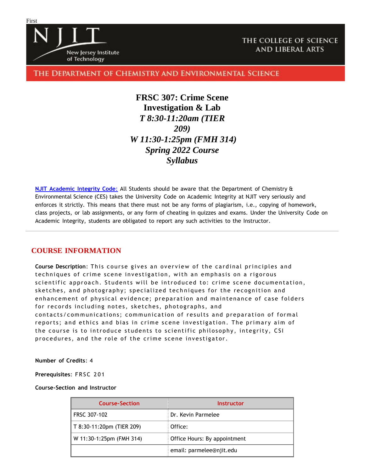

## THE COLLEGE OF SCIENCE **AND LIBERAL ARTS**

## THE DEPARTMENT OF CHEMISTRY AND ENVIRONMENTAL SCIENCE

**FRSC 307: Crime Scene Investigation & Lab** *T 8:30-11:20am (TIER 209) W 11:30-1:25pm (FMH 314) Spring 2022 Course Syllabus*

**NJIT [Academic](https://www.njit.edu/policies/sites/policies/files/academic-integrity-code.pdf) Integrity Code**: All Students should be aware that the Department of Chemistry & Environmental Science (CES) takes the University Code on Academic Integrity at NJIT very seriously and enforces it strictly. This means that there must not be any forms of plagiarism, i.e., copying of homework, class projects, or lab assignments, or any form of cheating in quizzes and exams. Under the University Code on Academic Integrity, students are obligated to report any such activities to the Instructor.

## **COURSE INFORMATION**

**Course Description**: This course gives an overview of the cardinal principles and techniques of crime scene investigation, with an emphasis on a rigorous scientific approach. Students will be introduced to: crime scene documentation, sketches, and photography; specialized techniques for the recognition and enhancement of physical evidence; preparation and maintenance of case folders for records including notes, sketches, photographs, and contacts/communications; communication of results and preparation of formal reports; and ethics and bias in crime scene investigation. The primary aim of the course is to introduce students to scientific philosophy, integrity, CSI procedures, and the role of the crime scene investigator.

**Number of Credits**: 4

**Prerequisites**: F R S C 2 0 1

#### **Course-Section and Instructor**

| <b>Course-Section</b>     | Instructor                   |  |
|---------------------------|------------------------------|--|
| FRSC 307-102              | Dr. Kevin Parmelee           |  |
| T 8:30-11:20pm (TIER 209) | Office:                      |  |
| W 11:30-1:25pm (FMH 314)  | Office Hours: By appointment |  |
|                           | email: parmelee@njit.edu     |  |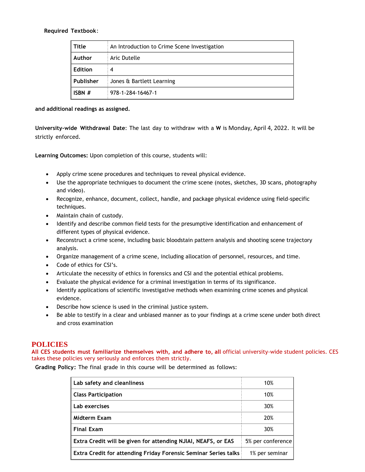#### **Required Textbook**:

| Title     | An Introduction to Crime Scene Investigation |  |
|-----------|----------------------------------------------|--|
| Author    | Aric Dutelle                                 |  |
| Edition   | 4                                            |  |
| Publisher | Jones & Bartlett Learning                    |  |
| ISBN $#$  | 978-1-284-16467-1                            |  |

**and additional readings as assigned.**

**University-wide Withdrawal Date**: The last day to withdraw with a **W** is Monday, April 4, 2022. It will be strictly enforced.

**Learning Outcomes:** Upon completion of this course, students will:

- Apply crime scene procedures and techniques to reveal physical evidence.
- Use the appropriate techniques to document the crime scene (notes, sketches, 3D scans, photography and video).
- Recognize, enhance, document, collect, handle, and package physical evidence using field-specific techniques.
- Maintain chain of custody.
- Identify and describe common field tests for the presumptive identification and enhancement of different types of physical evidence.
- Reconstruct a crime scene, including basic bloodstain pattern analysis and shooting scene trajectory analysis.
- Organize management of a crime scene, including allocation of personnel, resources, and time.
- Code of ethics for CSI's.
- Articulate the necessity of ethics in forensics and CSI and the potential ethical problems.
- Evaluate the physical evidence for a criminal investigation in terms of its significance.
- Identify applications of scientific investigative methods when examining crime scenes and physical evidence.
- Describe how science is used in the criminal justice system.
- Be able to testify in a clear and unbiased manner as to your findings at a crime scene under both direct and cross examination

## **POLICIES**

**All CES students must familiarize themselves with, and adhere to, all** official university-wide student policies. CES takes these policies very seriously and enforces them strictly.

**Grading Policy:** The final grade in this course will be determined as follows:

| Lab safety and cleanliness                                              | 10%               |
|-------------------------------------------------------------------------|-------------------|
| <b>Class Participation</b>                                              | 10%               |
| Lab exercises                                                           | 30%               |
| Midterm Exam                                                            | 20%               |
| <b>Final Exam</b>                                                       | 30%               |
| Extra Credit will be given for attending NJIAI, NEAFS, or EAS           | 5% per conference |
| <b>Extra Credit for attending Friday Forensic Seminar Series talks:</b> | 1% per seminar    |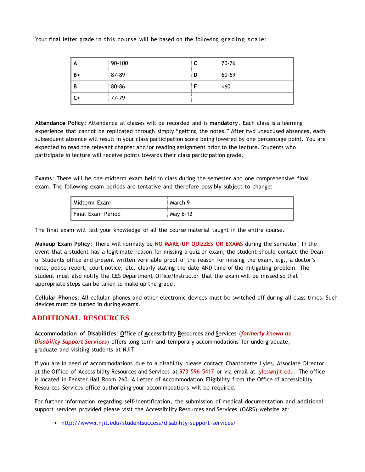Your final letter grade in this course will be based on the following grading scale:

| A    | $90 - 100$ |   | 70-76   |
|------|------------|---|---------|
| $B+$ | 87-89      | D | $60-69$ |
| B    | 80-86      |   | <60     |
| $C+$ | 77-79      |   |         |

**Attendance Policy:** Attendance at classes will be recorded and is **mandatory**. Each class is a learning experience that cannot be replicated through simply "getting the notes." After two unexcused absences, each subsequent absence will result in your class participation score being lowered by one percentage point. You are expected to read the relevant chapter and/or reading assignment prior to the lecture. Students who participate in lecture will receive points towards their class participation grade.

**Exams**: There will be one midterm exam held in class during the semester and one comprehensive final exam. The following exam periods are tentative and therefore possibly subject to change:

| ' Midterm Exam      | March 9  |
|---------------------|----------|
| ' Final Exam Period | May 6-12 |

The final exam will test your knowledge of all the course material taught in the entire course.

**Makeup Exam Policy**: There will normally be **NO MAKE-UP QUIZZES OR EXAMS** during the semester. In the event that a student has a legitimate reason for missing a quiz or exam, the student should contact the Dean of Students office and present written verifiable proof of the reason for missing the exam, e.g., a doctor's note, police report, court notice, etc. clearly stating the date AND time of the mitigating problem. The student must also notify the CES Department Office/Instructor that the exam will be missed so that appropriate steps can be taken to make up the grade.

**Cellular Phones**: All cellular phones and other electronic devices must be switched off during all class times. Such devices must be turned in during exams.

## **ADDITIONAL RESOURCES**

**Accommodation of Disabilities**: **O**ffice of **A**ccessibility **R**esources and **S**ervices (*formerly known as Disability Support Services*) offers long term and temporary accommodations for undergraduate, graduate and visiting students at NJIT.

If you are in need of accommodations due to a disability please contact Chantonette Lyles, Associate Director at the Office of Accessibility Resources and Services at 973-596-5417 or via email at [lyles@njit.edu.](mailto:lyles@njit.edu) The office is located in Fenster Hall Room 260. A Letter of Accommodation Eligibility from the Office of Accessibility Resources Services office authorizing your accommodations will be required.

For further information regarding self-identification, the submission of medical documentation and additional support services provided please visit the Accessibility Resources and Services (OARS) website at:

[http://www5.njit.edu/studentsuccess/disability-support-services/](http://www.njit.edu/studentsuccess/accessibility/)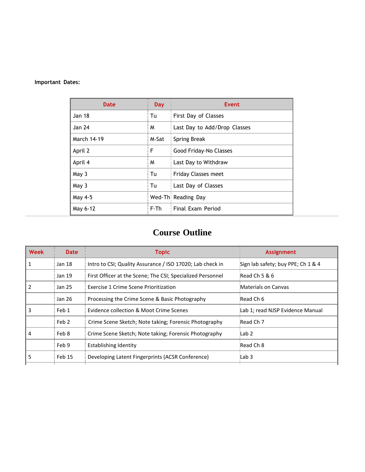### **Important Dates:**

| Date          | <b>Day</b> | Event                        |
|---------------|------------|------------------------------|
| <b>Jan 18</b> | Tu         | First Day of Classes         |
| Jan 24        | M          | Last Day to Add/Drop Classes |
| March 14-19   | M-Sat      | Spring Break                 |
| April 2       | F          | Good Friday-No Classes       |
| April 4       | M          | Last Day to Withdraw         |
| May 3         | Tu         | <b>Friday Classes meet</b>   |
| May 3         | Tu         | Last Day of Classes          |
| May 4-5       |            | Wed-Thi Reading Day          |
| May 6-12      | F-Th       | Final Exam Period            |

# **Course Outline**

| <b>Date</b> | <b>Topic</b>                                               | <b>Assignment</b>                  |
|-------------|------------------------------------------------------------|------------------------------------|
| Jan 18      | Intro to CSI; Quality Assurance / ISO 17020; Lab check in  | Sign lab safety; buy PPE; Ch 1 & 4 |
| Jan 19      | First Officer at the Scene; The CSI; Specialized Personnel | Read Ch 5 & 6                      |
| Jan 25      | Exercise 1 Crime Scene Prioritization                      | Materials on Canvas                |
| Jan 26      | Processing the Crime Scene & Basic Photography             | Read Ch 6                          |
| Feb 1       | Evidence collection & Moot Crime Scenes                    | Lab 1; read NJSP Evidence Manual   |
| Feb 2       | Crime Scene Sketch; Note taking; Forensic Photography      | Read Ch 7                          |
| Feb 8       | Crime Scene Sketch; Note taking; Forensic Photography      | Lab 2                              |
| Feb 9       | <b>Establishing Identity</b>                               | Read Ch 8                          |
| Feb 15      | Developing Latent Fingerprints (ACSR Conference)           | Lab 3                              |
|             |                                                            |                                    |